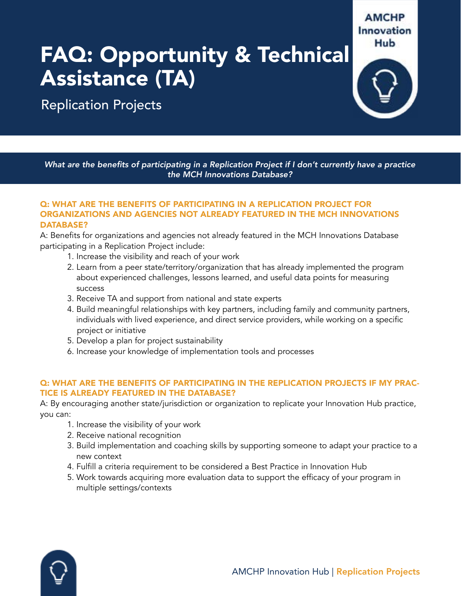## FAQ: Opportunity & Technical Assistance (TA)

Replication Projects



**AMCHP** 

What are the benefits of participating in a Replication Project if I don't currently have a practice the MCH Innovations Database?

#### Q: WHAT ARE THE BENEFITS OF PARTICIPATING IN A REPLICATION PROJECT FOR ORGANIZATIONS AND AGENCIES NOT ALREADY FEATURED IN THE MCH INNOVATIONS DATABASE?

A: Benefits for organizations and agencies not already featured in the MCH Innovations Database participating in a Replication Project include:

- 1. Increase the visibility and reach of your work
- 2. Learn from a peer state/territory/organization that has already implemented the program about experienced challenges, lessons learned, and useful data points for measuring success
- 3. Receive TA and support from national and state experts
- 4. Build meaningful relationships with key partners, including family and community partners, individuals with lived experience, and direct service providers, while working on a specific project or initiative
- 5. Develop a plan for project sustainability
- 6. Increase your knowledge of implementation tools and processes

#### Q: WHAT ARE THE BENEFITS OF PARTICIPATING IN THE REPLICATION PROJECTS IF MY PRAC-TICE IS ALREADY FEATURED IN THE DATABASE?

A: By encouraging another state/jurisdiction or organization to replicate your Innovation Hub practice, you can:

- 1. Increase the visibility of your work
- 2. Receive national recognition
- 3. Build implementation and coaching skills by supporting someone to adapt your practice to a new context
- 4. Fulfill a criteria requirement to be considered a Best Practice in Innovation Hub
- 5. Work towards acquiring more evaluation data to support the efficacy of your program in multiple settings/contexts

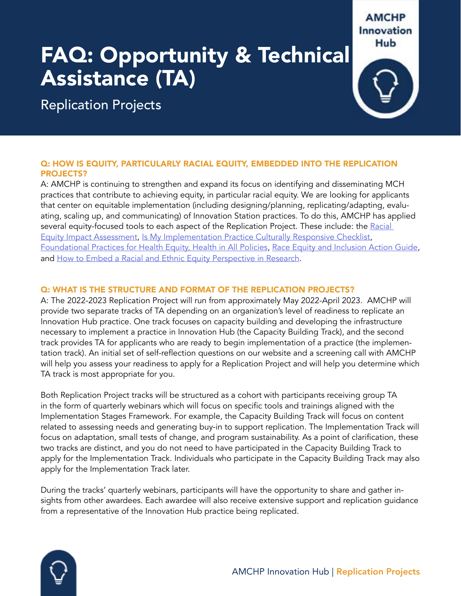### FAQ: Opportunity & Technical Assistance (TA)

Replication Projects



#### Q: HOW IS EQUITY, PARTICULARLY RACIAL EQUITY, EMBEDDED INTO THE REPLICATION PROJECTS?

A: AMCHP is continuing to strengthen and expand its focus on identifying and disseminating MCH practices that contribute to achieving equity, in particular racial equity. We are looking for applicants that center on equitable implementation (including designing/planning, replicating/adapting, evaluating, scaling up, and communicating) of Innovation Station practices. To do this, AMCHP has applied several equity-focused tools to each aspect of the Replication Project. These include: the Racial [Equity Impact Assessment](https://www.raceforward.org/practice/tools/racial-equity-impact-assessment-toolkit), [Is My Implementation Practice Culturally Responsive Checklist,](https://nirn.fpg.unc.edu/sites/nirn.fpg.unc.edu/files/imce/documents/IS%20Self%20Assessment.pdf) [Foundational Practices for Health Equity,](https://www.astho.org/Health-Equity/Documents/Foundational-Practices-for-Health-Equity/) [Health in All Policies,](http://www.phi.org/wp-content/uploads/migration/uploads/application/files/udt4vq0y712qpb1o4p62dexjlgxlnogpq15gr8pti3y7ckzysi.pdf) [Race Equity and Inclusion Action Guide,](https://www.aecf.org/resources/race-equity-and-inclusion-action-guide/) and [How to Embed a Racial and Ethnic Equity Perspective in Research.](https://www.childtrends.org/wp-content/uploads/2019/09/RacialEthnicEquityPerspective_ChildTrends_October2019.pdf)

#### Q: WHAT IS THE STRUCTURE AND FORMAT OF THE REPLICATION PROJECTS?

A: The 2022-2023 Replication Project will run from approximately May 2022-April 2023. AMCHP will provide two separate tracks of TA depending on an organization's level of readiness to replicate an Innovation Hub practice. One track focuses on capacity building and developing the infrastructure necessary to implement a practice in Innovation Hub (the Capacity Building Track), and the second track provides TA for applicants who are ready to begin implementation of a practice (the implementation track). An initial set of self-reflection questions on our website and a screening call with AMCHP will help you assess your readiness to apply for a Replication Project and will help you determine which TA track is most appropriate for you.

Both Replication Project tracks will be structured as a cohort with participants receiving group TA in the form of quarterly webinars which will focus on specific tools and trainings aligned with the Implementation Stages Framework. For example, the Capacity Building Track will focus on content related to assessing needs and generating buy-in to support replication. The Implementation Track will focus on adaptation, small tests of change, and program sustainability. As a point of clarification, these two tracks are distinct, and you do not need to have participated in the Capacity Building Track to apply for the Implementation Track. Individuals who participate in the Capacity Building Track may also apply for the Implementation Track later.

During the tracks' quarterly webinars, participants will have the opportunity to share and gather insights from other awardees. Each awardee will also receive extensive support and replication guidance from a representative of the Innovation Hub practice being replicated.

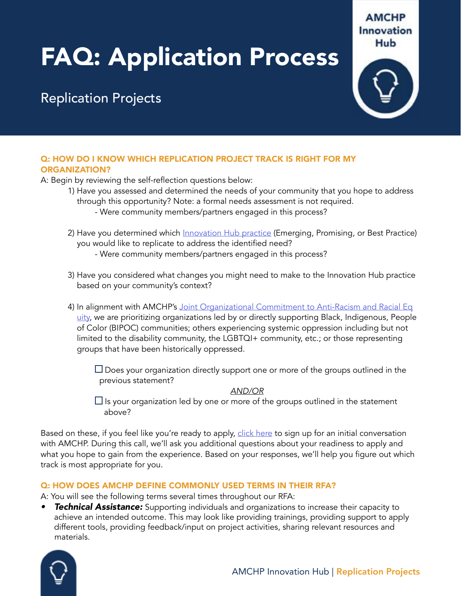# FAQ: Application Process

### Replication Projects



#### Q: HOW DO I KNOW WHICH REPLICATION PROJECT TRACK IS RIGHT FOR MY ORGANIZATION?

A: Begin by reviewing the self-reflection questions below:

- 1) Have you assessed and determined the needs of your community that you hope to address through this opportunity? Note: a formal needs assessment is not required.
	- Were community members/partners engaged in this process?
- 2) Have you determined which [Innovation Hub practice](https://amchp.org/mch-innovations-database/) (Emerging, Promising, or Best Practice) you would like to replicate to address the identified need?
	- Were community members/partners engaged in this process?
- 3) Have you considered what changes you might need to make to the Innovation Hub practice based on your community's context?
- 4) In alignment with AMCHP's [Joint Organizational Commitment to Anti-Racism and Racial Eq](http://www.amchp.org/programsandtopics/Documents/Joint Organizational Commitment to Anti-Racism and Racial  Equity.pdf) [uity](http://www.amchp.org/programsandtopics/Documents/Joint Organizational Commitment to Anti-Racism and Racial  Equity.pdf), we are prioritizing organizations led by or directly supporting Black, Indigenous, People of Color (BIPOC) communities; others experiencing systemic oppression including but not limited to the disability community, the LGBTQI+ community, etc.; or those representing groups that have been historically oppressed.

 $\square$  Does your organization directly support one or more of the groups outlined in the previous statement?

*AND/OR*

 $\Box$  Is your organization led by one or more of the groups outlined in the statement above?

Based on these, if you feel like you're ready to apply, [click here](https://amchp.sharepoint.com/:f:/s/ReplicationProjectRedesign/EhV_mHK-fz9No4HbEQxJ-WEB-8tpo5cNax9kHvIbwF3kOg?e=W8AHkB) to sign up for an initial conversation with AMCHP. During this call, we'll ask you additional questions about your readiness to apply and what you hope to gain from the experience. Based on your responses, we'll help you figure out which track is most appropriate for you.

#### Q: HOW DOES AMCHP DEFINE COMMONLY USED TERMS IN THEIR RFA?

A: You will see the following terms several times throughout our RFA:

*Technical Assistance:* Supporting individuals and organizations to increase their capacity to achieve an intended outcome. This may look like providing trainings, providing support to apply different tools, providing feedback/input on project activities, sharing relevant resources and materials.

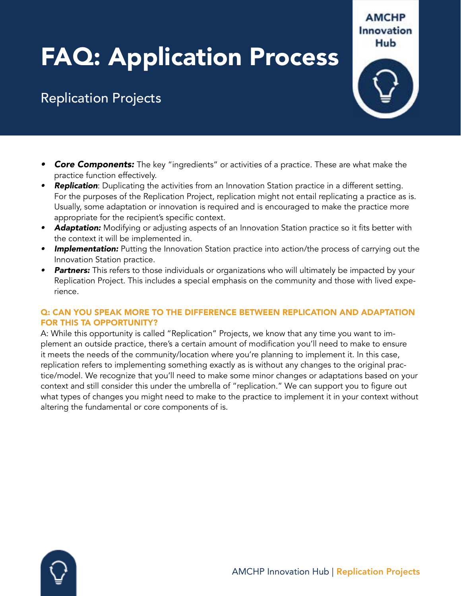# FAQ: Application Process

### Replication Projects

Innovation Hub

**AMCHP** 

- *Core Components:* The key "ingredients" or activities of a practice. These are what make the practice function effectively.
- *• Replication*: Duplicating the activities from an Innovation Station practice in a different setting. For the purposes of the Replication Project, replication might not entail replicating a practice as is. Usually, some adaptation or innovation is required and is encouraged to make the practice more appropriate for the recipient's specific context.
- *• Adaptation:* Modifying or adjusting aspects of an Innovation Station practice so it fits better with the context it will be implemented in.
- **Implementation:** Putting the Innovation Station practice into action/the process of carrying out the Innovation Station practice.
- *Partners:* This refers to those individuals or organizations who will ultimately be impacted by your Replication Project. This includes a special emphasis on the community and those with lived experience.

#### Q: CAN YOU SPEAK MORE TO THE DIFFERENCE BETWEEN REPLICATION AND ADAPTATION FOR THIS TA OPPORTUNITY?

A: While this opportunity is called "Replication" Projects, we know that any time you want to implement an outside practice, there's a certain amount of modification you'll need to make to ensure it meets the needs of the community/location where you're planning to implement it. In this case, replication refers to implementing something exactly as is without any changes to the original practice/model. We recognize that you'll need to make some minor changes or adaptations based on your context and still consider this under the umbrella of "replication." We can support you to figure out what types of changes you might need to make to the practice to implement it in your context without altering the fundamental or core components of is.

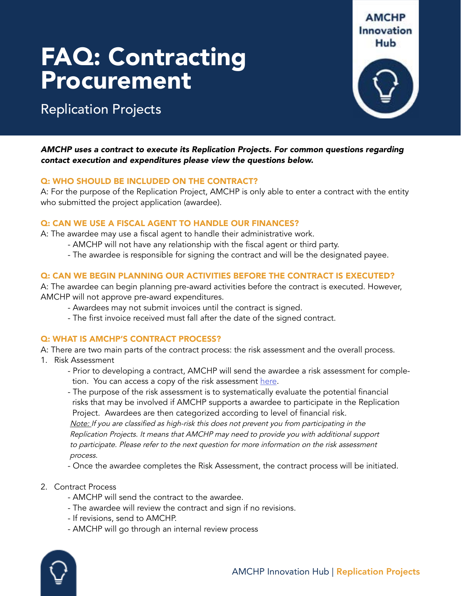## FAQ: Contracting Procurement

### Replication Projects



*AMCHP uses a contract to execute its Replication Projects. For common questions regarding contact execution and expenditures please view the questions below.*

#### Q: WHO SHOULD BE INCLUDED ON THE CONTRACT?

A: For the purpose of the Replication Project, AMCHP is only able to enter a contract with the entity who submitted the project application (awardee).

#### Q: CAN WE USE A FISCAL AGENT TO HANDLE OUR FINANCES?

A: The awardee may use a fiscal agent to handle their administrative work.

- AMCHP will not have any relationship with the fiscal agent or third party.
- The awardee is responsible for signing the contract and will be the designated payee.

#### Q: CAN WE BEGIN PLANNING OUR ACTIVITIES BEFORE THE CONTRACT IS EXECUTED?

A: The awardee can begin planning pre-award activities before the contract is executed. However, AMCHP will not approve pre-award expenditures.

- Awardees may not submit invoices until the contract is signed.
- The first invoice received must fall after the date of the signed contract.

#### Q: WHAT IS AMCHP'S CONTRACT PROCESS?

A: There are two main parts of the contract process: the risk assessment and the overall process.

- 1. Risk Assessment
	- Prior to developing a contract, AMCHP will send the awardee a risk assessment for comple tion. You can access a copy of the risk assessment [here](https://amchp-my.sharepoint.com/:w:/g/personal/saraya_amchp_org/EYZpY7z-VUdKuqpimiheaVkBbD4n4MhLcSeTLBtH4SqrSg?e=Ko1naU).
	- The purpose of the risk assessment is to systematically evaluate the potential financial risks that may be involved if AMCHP supports a awardee to participate in the Replication Project. Awardees are then categorized according to level of financial risk. Note: If you are classified as high-risk this does not prevent you from participating in the

 Replication Projects. It means that AMCHP may need to provide you with additional support to participate. Please refer to the next question for more information on the risk assessment process.

- Once the awardee completes the Risk Assessment, the contract process will be initiated.

#### 2. Contract Process

- AMCHP will send the contract to the awardee.
- The awardee will review the contract and sign if no revisions.
- If revisions, send to AMCHP.
- AMCHP will go through an internal review process

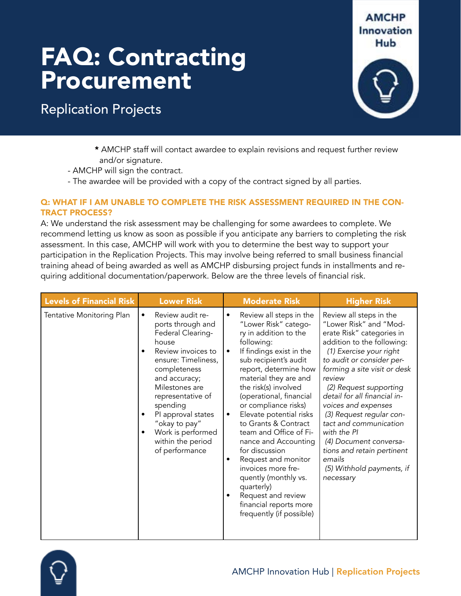## FAQ: Contracting Procurement

Replication Projects



\* AMCHP staff will contact awardee to explain revisions and request further review and/or signature.

- AMCHP will sign the contract.
- The awardee will be provided with a copy of the contract signed by all parties.

#### Q: WHAT IF I AM UNABLE TO COMPLETE THE RISK ASSESSMENT REQUIRED IN THE CON-TRACT PROCESS?

A: We understand the risk assessment may be challenging for some awardees to complete. We recommend letting us know as soon as possible if you anticipate any barriers to completing the risk assessment. In this case, AMCHP will work with you to determine the best way to support your participation in the Replication Projects. This may involve being referred to small business financial training ahead of being awarded as well as AMCHP disbursing project funds in installments and requiring additional documentation/paperwork. Below are the three levels of financial risk.

| <b>Levels of Financial Risk</b> | <b>Lower Risk</b>                                                                                                                                                                                                                                                                                                    | <b>Moderate Risk</b>                                                                                                                                                                                                                                                                                                                                                                                                                                                                                                                                                                          | <b>Higher Risk</b>                                                                                                                                                                                                                                                                                                                                                                                                                                                               |
|---------------------------------|----------------------------------------------------------------------------------------------------------------------------------------------------------------------------------------------------------------------------------------------------------------------------------------------------------------------|-----------------------------------------------------------------------------------------------------------------------------------------------------------------------------------------------------------------------------------------------------------------------------------------------------------------------------------------------------------------------------------------------------------------------------------------------------------------------------------------------------------------------------------------------------------------------------------------------|----------------------------------------------------------------------------------------------------------------------------------------------------------------------------------------------------------------------------------------------------------------------------------------------------------------------------------------------------------------------------------------------------------------------------------------------------------------------------------|
| Tentative Monitoring Plan       | Review audit re-<br>$\bullet$<br>ports through and<br>Federal Clearing-<br>house<br>Review invoices to<br>ensure: Timeliness,<br>completeness<br>and accuracy;<br>Milestones are<br>representative of<br>spending<br>PI approval states<br>"okay to pay"<br>Work is performed<br>within the period<br>of performance | Review all steps in the<br>$\bullet$<br>"Lower Risk" catego-<br>ry in addition to the<br>following:<br>If findings exist in the<br>$\bullet$<br>sub recipient's audit<br>report, determine how<br>material they are and<br>the risk(s) involved<br>(operational, financial<br>or compliance risks)<br>Elevate potential risks<br>٠<br>to Grants & Contract<br>team and Office of Fi-<br>nance and Accounting<br>for discussion<br>Request and monitor<br>invoices more fre-<br>quently (monthly vs.<br>quarterly)<br>Request and review<br>financial reports more<br>frequently (if possible) | Review all steps in the<br>"Lower Risk" and "Mod-<br>erate Risk" categories in<br>addition to the following:<br>(1) Exercise your right<br>to audit or consider per-<br>forming a site visit or desk<br>review<br>(2) Request supporting<br>detail for all financial in-<br>voices and expenses<br>(3) Request regular con-<br>tact and communication<br>with the PI<br>(4) Document conversa-<br>tions and retain pertinent<br>emails<br>(5) Withhold payments, if<br>necessary |

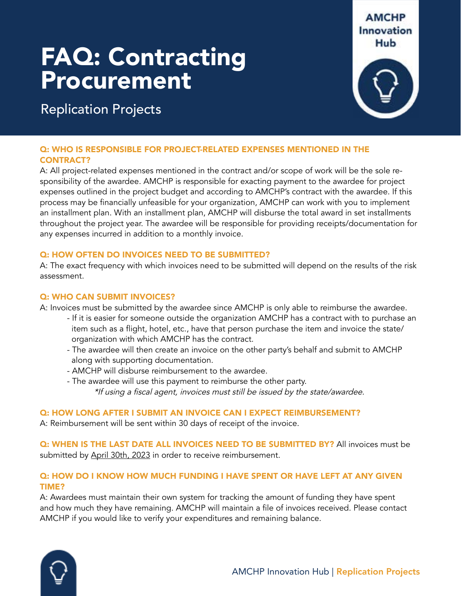## FAQ: Contracting Procurement

### Replication Projects



#### Q: WHO IS RESPONSIBLE FOR PROJECT-RELATED EXPENSES MENTIONED IN THE CONTRACT?

A: All project-related expenses mentioned in the contract and/or scope of work will be the sole responsibility of the awardee. AMCHP is responsible for exacting payment to the awardee for project expenses outlined in the project budget and according to AMCHP's contract with the awardee. If this process may be financially unfeasible for your organization, AMCHP can work with you to implement an installment plan. With an installment plan, AMCHP will disburse the total award in set installments throughout the project year. The awardee will be responsible for providing receipts/documentation for any expenses incurred in addition to a monthly invoice.

#### Q: HOW OFTEN DO INVOICES NEED TO BE SUBMITTED?

A: The exact frequency with which invoices need to be submitted will depend on the results of the risk assessment.

#### Q: WHO CAN SUBMIT INVOICES?

- A: Invoices must be submitted by the awardee since AMCHP is only able to reimburse the awardee.
	- If it is easier for someone outside the organization AMCHP has a contract with to purchase an item such as a flight, hotel, etc., have that person purchase the item and invoice the state/ organization with which AMCHP has the contract.
	- The awardee will then create an invoice on the other party's behalf and submit to AMCHP along with supporting documentation.
	- AMCHP will disburse reimbursement to the awardee.
	- The awardee will use this payment to reimburse the other party. \*If using a fiscal agent, invoices must still be issued by the state/awardee.

#### Q: HOW LONG AFTER I SUBMIT AN INVOICE CAN I EXPECT REIMBURSEMENT?

A: Reimbursement will be sent within 30 days of receipt of the invoice.

Q: WHEN IS THE LAST DATE ALL INVOICES NEED TO BE SUBMITTED BY? All invoices must be submitted by April 30th, 2023 in order to receive reimbursement.

#### Q: HOW DO I KNOW HOW MUCH FUNDING I HAVE SPENT OR HAVE LEFT AT ANY GIVEN TIME?

A: Awardees must maintain their own system for tracking the amount of funding they have spent and how much they have remaining. AMCHP will maintain a file of invoices received. Please contact AMCHP if you would like to verify your expenditures and remaining balance.